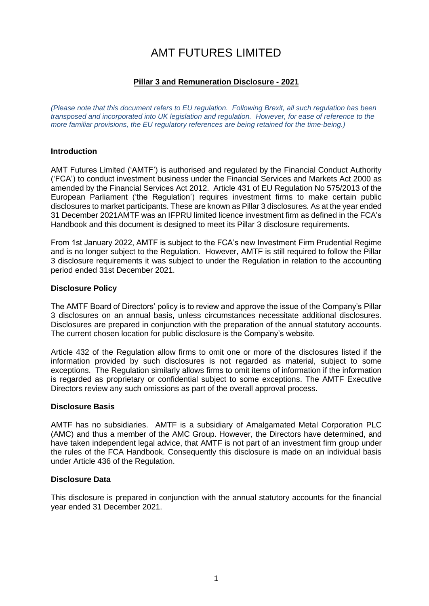# AMT FUTURES LIMITED

# **Pillar 3 and Remuneration Disclosure - 2021**

*(Please note that this document refers to EU regulation. Following Brexit, all such regulation has been transposed and incorporated into UK legislation and regulation. However, for ease of reference to the more familiar provisions, the EU regulatory references are being retained for the time-being.)*

## **Introduction**

AMT Futures Limited ('AMTF') is authorised and regulated by the Financial Conduct Authority ('FCA') to conduct investment business under the Financial Services and Markets Act 2000 as amended by the Financial Services Act 2012. Article 431 of EU Regulation No 575/2013 of the European Parliament ('the Regulation') requires investment firms to make certain public disclosures to market participants. These are known as Pillar 3 disclosures. As at the year ended 31 December 2021AMTF was an IFPRU limited licence investment firm as defined in the FCA's Handbook and this document is designed to meet its Pillar 3 disclosure requirements.

From 1st January 2022, AMTF is subject to the FCA's new Investment Firm Prudential Regime and is no longer subject to the Regulation. However, AMTF is still required to follow the Pillar 3 disclosure requirements it was subject to under the Regulation in relation to the accounting period ended 31st December 2021.

## **Disclosure Policy**

The AMTF Board of Directors' policy is to review and approve the issue of the Company's Pillar 3 disclosures on an annual basis, unless circumstances necessitate additional disclosures. Disclosures are prepared in conjunction with the preparation of the annual statutory accounts. The current chosen location for public disclosure is the Company's website.

Article 432 of the Regulation allow firms to omit one or more of the disclosures listed if the information provided by such disclosures is not regarded as material, subject to some exceptions. The Regulation similarly allows firms to omit items of information if the information is regarded as proprietary or confidential subject to some exceptions. The AMTF Executive Directors review any such omissions as part of the overall approval process.

## **Disclosure Basis**

AMTF has no subsidiaries. AMTF is a subsidiary of Amalgamated Metal Corporation PLC (AMC) and thus a member of the AMC Group. However, the Directors have determined, and have taken independent legal advice, that AMTF is not part of an investment firm group under the rules of the FCA Handbook. Consequently this disclosure is made on an individual basis under Article 436 of the Regulation.

### **Disclosure Data**

This disclosure is prepared in conjunction with the annual statutory accounts for the financial year ended 31 December 2021.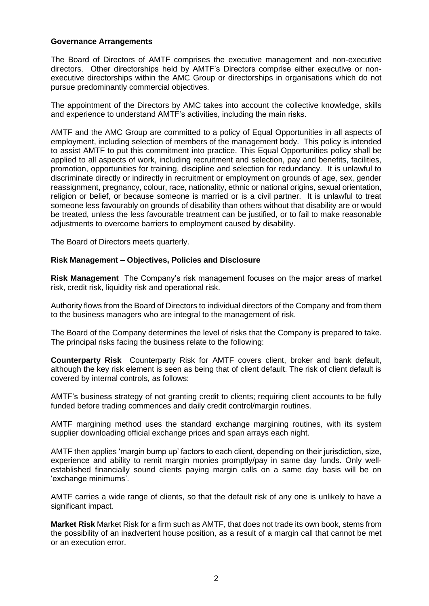## **Governance Arrangements**

The Board of Directors of AMTF comprises the executive management and non-executive directors. Other directorships held by AMTF's Directors comprise either executive or nonexecutive directorships within the AMC Group or directorships in organisations which do not pursue predominantly commercial objectives.

The appointment of the Directors by AMC takes into account the collective knowledge, skills and experience to understand AMTF's activities, including the main risks.

AMTF and the AMC Group are committed to a policy of Equal Opportunities in all aspects of employment, including selection of members of the management body. This policy is intended to assist AMTF to put this commitment into practice. This Equal Opportunities policy shall be applied to all aspects of work, including recruitment and selection, pay and benefits, facilities, promotion, opportunities for training, discipline and selection for redundancy. It is unlawful to discriminate directly or indirectly in recruitment or employment on grounds of age, sex, gender reassignment, pregnancy, colour, race, nationality, ethnic or national origins, sexual orientation, religion or belief, or because someone is married or is a civil partner. It is unlawful to treat someone less favourably on grounds of disability than others without that disability are or would be treated, unless the less favourable treatment can be justified, or to fail to make reasonable adjustments to overcome barriers to employment caused by disability.

The Board of Directors meets quarterly.

## **Risk Management – Objectives, Policies and Disclosure**

**Risk Management** The Company's risk management focuses on the major areas of market risk, credit risk, liquidity risk and operational risk.

Authority flows from the Board of Directors to individual directors of the Company and from them to the business managers who are integral to the management of risk.

The Board of the Company determines the level of risks that the Company is prepared to take. The principal risks facing the business relate to the following:

**Counterparty Risk** Counterparty Risk for AMTF covers client, broker and bank default, although the key risk element is seen as being that of client default. The risk of client default is covered by internal controls, as follows:

AMTF's business strategy of not granting credit to clients; requiring client accounts to be fully funded before trading commences and daily credit control/margin routines.

AMTF margining method uses the standard exchange margining routines, with its system supplier downloading official exchange prices and span arrays each night.

AMTF then applies 'margin bump up' factors to each client, depending on their jurisdiction, size, experience and ability to remit margin monies promptly/pay in same day funds. Only wellestablished financially sound clients paying margin calls on a same day basis will be on 'exchange minimums'.

AMTF carries a wide range of clients, so that the default risk of any one is unlikely to have a significant impact.

**Market Risk** Market Risk for a firm such as AMTF, that does not trade its own book, stems from the possibility of an inadvertent house position, as a result of a margin call that cannot be met or an execution error.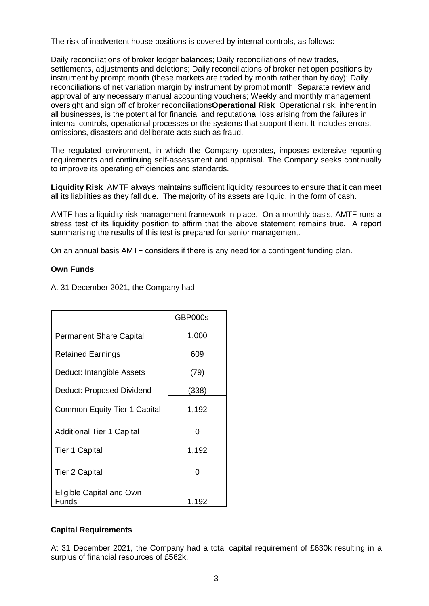The risk of inadvertent house positions is covered by internal controls, as follows:

Daily reconciliations of broker ledger balances; Daily reconciliations of new trades, settlements, adjustments and deletions; Daily reconciliations of broker net open positions by instrument by prompt month (these markets are traded by month rather than by day); Daily reconciliations of net variation margin by instrument by prompt month; Separate review and approval of any necessary manual accounting vouchers; Weekly and monthly management oversight and sign off of broker reconciliations**Operational Risk** Operational risk, inherent in all businesses, is the potential for financial and reputational loss arising from the failures in internal controls, operational processes or the systems that support them. It includes errors, omissions, disasters and deliberate acts such as fraud.

The regulated environment, in which the Company operates, imposes extensive reporting requirements and continuing self-assessment and appraisal. The Company seeks continually to improve its operating efficiencies and standards.

**Liquidity Risk** AMTF always maintains sufficient liquidity resources to ensure that it can meet all its liabilities as they fall due. The majority of its assets are liquid, in the form of cash.

AMTF has a liquidity risk management framework in place. On a monthly basis, AMTF runs a stress test of its liquidity position to affirm that the above statement remains true. A report summarising the results of this test is prepared for senior management.

On an annual basis AMTF considers if there is any need for a contingent funding plan.

# **Own Funds**

At 31 December 2021, the Company had:

|                                          | GBP000s |
|------------------------------------------|---------|
| <b>Permanent Share Capital</b>           | 1,000   |
| <b>Retained Earnings</b>                 | 609     |
| Deduct: Intangible Assets                | (79)    |
| Deduct: Proposed Dividend                | (338)   |
| <b>Common Equity Tier 1 Capital</b>      | 1,192   |
| <b>Additional Tier 1 Capital</b>         | O       |
| <b>Tier 1 Capital</b>                    | 1,192   |
| <b>Tier 2 Capital</b>                    | 0       |
| <b>Eligible Capital and Own</b><br>Funds | 1,192   |

# **Capital Requirements**

At 31 December 2021, the Company had a total capital requirement of £630k resulting in a surplus of financial resources of £562k.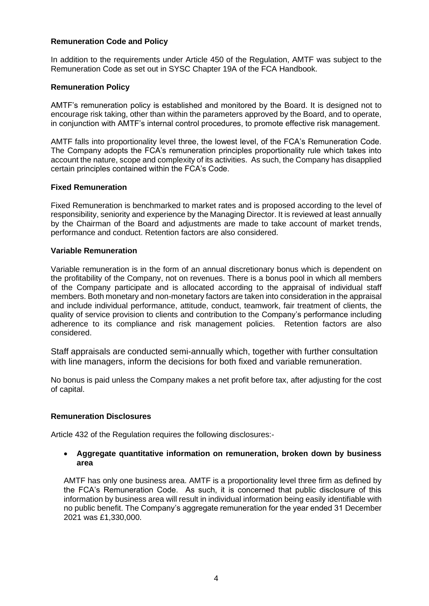# **Remuneration Code and Policy**

In addition to the requirements under Article 450 of the Regulation, AMTF was subject to the Remuneration Code as set out in SYSC Chapter 19A of the FCA Handbook.

## **Remuneration Policy**

AMTF's remuneration policy is established and monitored by the Board. It is designed not to encourage risk taking, other than within the parameters approved by the Board, and to operate, in conjunction with AMTF's internal control procedures, to promote effective risk management.

AMTF falls into proportionality level three, the lowest level, of the FCA's Remuneration Code. The Company adopts the FCA's remuneration principles proportionality rule which takes into account the nature, scope and complexity of its activities. As such, the Company has disapplied certain principles contained within the FCA's Code.

## **Fixed Remuneration**

Fixed Remuneration is benchmarked to market rates and is proposed according to the level of responsibility, seniority and experience by the Managing Director. It is reviewed at least annually by the Chairman of the Board and adjustments are made to take account of market trends, performance and conduct. Retention factors are also considered.

## **Variable Remuneration**

Variable remuneration is in the form of an annual discretionary bonus which is dependent on the profitability of the Company, not on revenues. There is a bonus pool in which all members of the Company participate and is allocated according to the appraisal of individual staff members. Both monetary and non-monetary factors are taken into consideration in the appraisal and include individual performance, attitude, conduct, teamwork, fair treatment of clients, the quality of service provision to clients and contribution to the Company's performance including adherence to its compliance and risk management policies. Retention factors are also considered.

Staff appraisals are conducted semi-annually which, together with further consultation with line managers, inform the decisions for both fixed and variable remuneration.

No bonus is paid unless the Company makes a net profit before tax, after adjusting for the cost of capital.

### **Remuneration Disclosures**

Article 432 of the Regulation requires the following disclosures:-

## • **Aggregate quantitative information on remuneration, broken down by business area**

AMTF has only one business area. AMTF is a proportionality level three firm as defined by the FCA's Remuneration Code. As such, it is concerned that public disclosure of this information by business area will result in individual information being easily identifiable with no public benefit. The Company's aggregate remuneration for the year ended 31 December 2021 was £1,330,000.